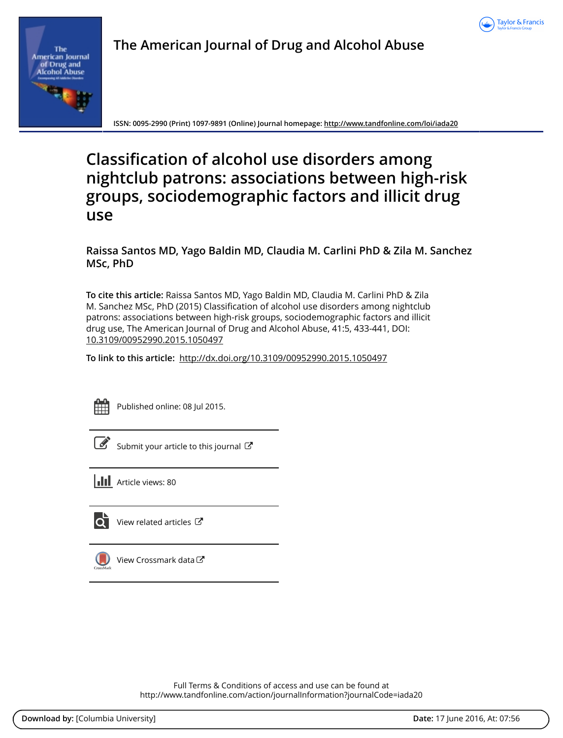



**The American Journal of Drug and Alcohol Abuse**

**ISSN: 0095-2990 (Print) 1097-9891 (Online) Journal homepage:<http://www.tandfonline.com/loi/iada20>**

# **Classification of alcohol use disorders among nightclub patrons: associations between high-risk groups, sociodemographic factors and illicit drug use**

**Raissa Santos MD, Yago Baldin MD, Claudia M. Carlini PhD & Zila M. Sanchez MSc, PhD**

**To cite this article:** Raissa Santos MD, Yago Baldin MD, Claudia M. Carlini PhD & Zila M. Sanchez MSc, PhD (2015) Classification of alcohol use disorders among nightclub patrons: associations between high-risk groups, sociodemographic factors and illicit drug use, The American Journal of Drug and Alcohol Abuse, 41:5, 433-441, DOI: [10.3109/00952990.2015.1050497](http://www.tandfonline.com/action/showCitFormats?doi=10.3109/00952990.2015.1050497)

**To link to this article:** <http://dx.doi.org/10.3109/00952990.2015.1050497>



Published online: 08 Jul 2015.

[Submit your article to this journal](http://www.tandfonline.com/action/authorSubmission?journalCode=iada20&page=instructions)  $\mathbb{Z}$ 

**Article views: 80** 



[View related articles](http://www.tandfonline.com/doi/mlt/10.3109/00952990.2015.1050497) C



[View Crossmark data](http://crossmark.crossref.org/dialog/?doi=10.3109/00952990.2015.1050497&domain=pdf&date_stamp=2015-07-08)<sup>C</sup>

Full Terms & Conditions of access and use can be found at <http://www.tandfonline.com/action/journalInformation?journalCode=iada20>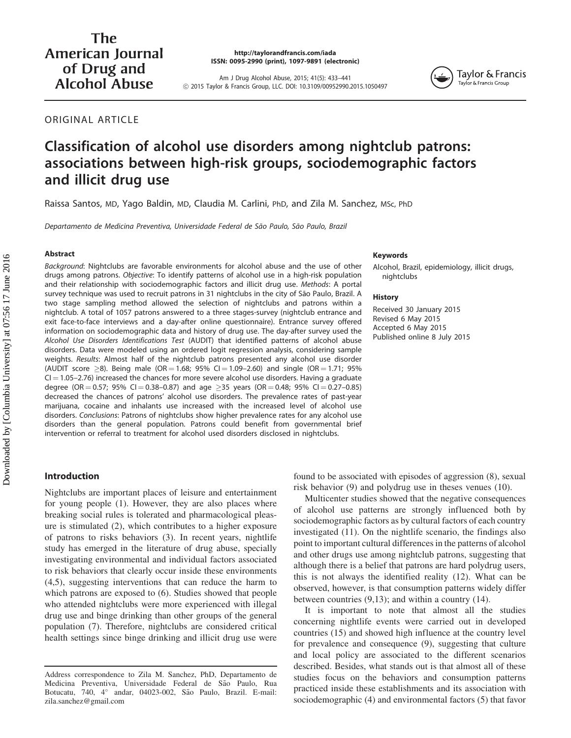http://taylorandfrancis.com/iada ISSN: 0095-2990 (print), 1097-9891 (electronic)

Am J Drug Alcohol Abuse, 2015; 41(5): 433–441 ! 2015 Taylor & Francis Group, LLC. DOI: 10.3109/00952990.2015.1050497



#### ORIGINAL ARTICLE

## Classification of alcohol use disorders among nightclub patrons: associations between high-risk groups, sociodemographic factors and illicit drug use

Raissa Santos, MD, Yago Baldin, MD, Claudia M. Carlini, PhD, and Zila M. Sanchez, MSc, PhD

Departamento de Medicina Preventiva, Universidade Federal de São Paulo, São Paulo, Brazil

#### Abstract

Background: Nightclubs are favorable environments for alcohol abuse and the use of other drugs among patrons. Objective: To identify patterns of alcohol use in a high-risk population and their relationship with sociodemographic factors and illicit drug use. Methods: A portal survey technique was used to recruit patrons in 31 nightclubs in the city of São Paulo, Brazil. A two stage sampling method allowed the selection of nightclubs and patrons within a nightclub. A total of 1057 patrons answered to a three stages-survey (nightclub entrance and exit face-to-face interviews and a day-after online questionnaire). Entrance survey offered information on sociodemographic data and history of drug use. The day-after survey used the Alcohol Use Disorders Identifications Test (AUDIT) that identified patterns of alcohol abuse disorders. Data were modeled using an ordered logit regression analysis, considering sample weights. Results: Almost half of the nightclub patrons presented any alcohol use disorder (AUDIT score  $\geq$ 8). Being male (OR = 1.68; 95% CI = 1.09–2.60) and single (OR = 1.71; 95%  $CI = 1.05 - 2.76$ ) increased the chances for more severe alcohol use disorders. Having a graduate degree (OR  $=$  0.57; 95% Cl  $=$  0.38–0.87) and age  $\geq$ 35 years (OR  $=$  0.48; 95% Cl  $=$  0.27–0.85) decreased the chances of patrons' alcohol use disorders. The prevalence rates of past-year marijuana, cocaine and inhalants use increased with the increased level of alcohol use disorders. Conclusions: Patrons of nightclubs show higher prevalence rates for any alcohol use disorders than the general population. Patrons could benefit from governmental brief intervention or referral to treatment for alcohol used disorders disclosed in nightclubs.

#### Introduction

Nightclubs are important places of leisure and entertainment for young people ([1\)](#page-8-0). However, they are also places where breaking social rules is tolerated and pharmacological pleasure is stimulated [\(2](#page-8-0)), which contributes to a higher exposure of patrons to risks behaviors ([3\)](#page-8-0). In recent years, nightlife study has emerged in the literature of drug abuse, specially investigating environmental and individual factors associated to risk behaviors that clearly occur inside these environments [\(4](#page-8-0),[5\)](#page-8-0), suggesting interventions that can reduce the harm to which patrons are exposed to [\(6](#page-8-0)). Studies showed that people who attended nightclubs were more experienced with illegal drug use and binge drinking than other groups of the general population ([7\)](#page-8-0). Therefore, nightclubs are considered critical health settings since binge drinking and illicit drug use were

#### Keywords

Alcohol, Brazil, epidemiology, illicit drugs, nightclubs

#### **History**

Received 30 January 2015 Revised 6 May 2015 Accepted 6 May 2015 Published online 8 July 2015

found to be associated with episodes of aggression [\(8](#page-8-0)), sexual risk behavior [\(9](#page-8-0)) and polydrug use in theses venues ([10\)](#page-8-0).

Multicenter studies showed that the negative consequences of alcohol use patterns are strongly influenced both by sociodemographic factors as by cultural factors of each country investigated [\(11](#page-8-0)). On the nightlife scenario, the findings also point to important cultural differences in the patterns of alcohol and other drugs use among nightclub patrons, suggesting that although there is a belief that patrons are hard polydrug users, this is not always the identified reality [\(12](#page-9-0)). What can be observed, however, is that consumption patterns widely differ between countries ([9,](#page-8-0)[13](#page-9-0)); and within a country ([14\)](#page-9-0).

It is important to note that almost all the studies concerning nightlife events were carried out in developed countries ([15\)](#page-9-0) and showed high influence at the country level for prevalence and consequence [\(9](#page-8-0)), suggesting that culture and local policy are associated to the different scenarios described. Besides, what stands out is that almost all of these studies focus on the behaviors and consumption patterns practiced inside these establishments and its association with sociodemographic ([4\)](#page-8-0) and environmental factors [\(5](#page-8-0)) that favor

Address correspondence to Zila M. Sanchez, PhD, Departamento de Medicina Preventiva, Universidade Federal de São Paulo, Rua Botucatu, 740, 4° andar, 04023-002, São Paulo, Brazil. E-mail: zila.sanchez@gmail.com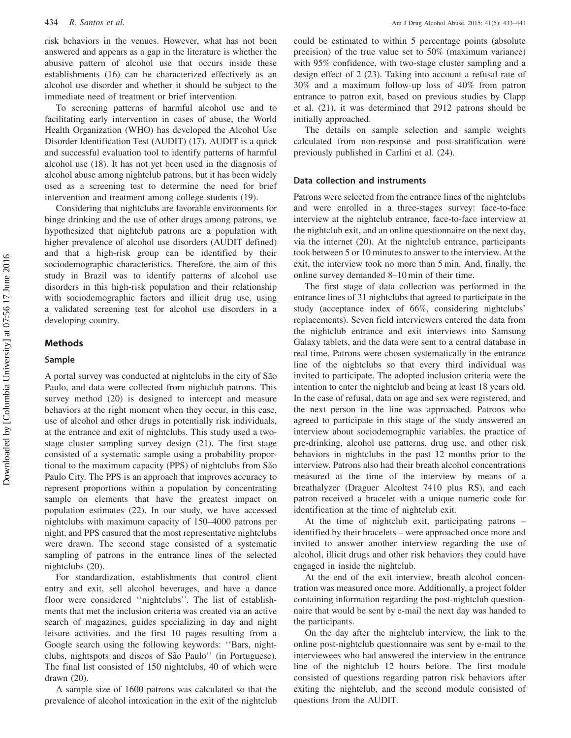risk behaviors in the venues. However, what has not been answered and appears as a gap in the literature is whether the abusive pattern of alcohol use that occurs inside these establishments [\(16](#page-9-0)) can be characterized effectively as an alcohol use disorder and whether it should be subject to the immediate need of treatment or brief intervention.

To screening patterns of harmful alcohol use and to facilitating early intervention in cases of abuse, the World Health Organization (WHO) has developed the Alcohol Use Disorder Identification Test (AUDIT) [\(17](#page-9-0)). AUDIT is a quick and successful evaluation tool to identify patterns of harmful alcohol use [\(18](#page-9-0)). It has not yet been used in the diagnosis of alcohol abuse among nightclub patrons, but it has been widely used as a screening test to determine the need for brief intervention and treatment among college students [\(19](#page-9-0)).

Considering that nightclubs are favorable environments for binge drinking and the use of other drugs among patrons, we hypothesized that nightclub patrons are a population with higher prevalence of alcohol use disorders (AUDIT defined) and that a high-risk group can be identified by their sociodemographic characteristics. Therefore, the aim of this study in Brazil was to identify patterns of alcohol use disorders in this high-risk population and their relationship with sociodemographic factors and illicit drug use, using a validated screening test for alcohol use disorders in a developing country.

#### Methods

#### Sample

A portal survey was conducted at nightclubs in the city of São Paulo, and data were collected from nightclub patrons. This survey method [\(20\)](#page-9-0) is designed to intercept and measure behaviors at the right moment when they occur, in this case, use of alcohol and other drugs in potentially risk individuals, at the entrance and exit of nightclubs. This study used a twostage cluster sampling survey design ([21\)](#page-9-0). The first stage consisted of a systematic sample using a probability proportional to the maximum capacity (PPS) of nightclubs from São Paulo City. The PPS is an approach that improves accuracy to represent proportions within a population by concentrating sample on elements that have the greatest impact on population estimates ([22\)](#page-9-0). In our study, we have accessed nightclubs with maximum capacity of 150–4000 patrons per night, and PPS ensured that the most representative nightclubs were drawn. The second stage consisted of a systematic sampling of patrons in the entrance lines of the selected nightclubs [\(20](#page-9-0)).

For standardization, establishments that control client entry and exit, sell alcohol beverages, and have a dance floor were considered ''nightclubs''. The list of establishments that met the inclusion criteria was created via an active search of magazines, guides specializing in day and night leisure activities, and the first 10 pages resulting from a Google search using the following keywords: ''Bars, nightclubs, nightspots and discos of São Paulo'' (in Portuguese). The final list consisted of 150 nightclubs, 40 of which were drawn [\(20](#page-9-0)).

A sample size of 1600 patrons was calculated so that the prevalence of alcohol intoxication in the exit of the nightclub

could be estimated to within 5 percentage points (absolute precision) of the true value set to 50% (maximum variance) with 95% confidence, with two-stage cluster sampling and a design effect of 2 ([23\)](#page-9-0). Taking into account a refusal rate of 30% and a maximum follow-up loss of 40% from patron entrance to patron exit, based on previous studies by Clapp et al. [\(21](#page-9-0)), it was determined that 2912 patrons should be initially approached.

The details on sample selection and sample weights calculated from non-response and post-stratification were previously published in Carlini et al. [\(24](#page-9-0)).

#### Data collection and instruments

Patrons were selected from the entrance lines of the nightclubs and were enrolled in a three-stages survey: face-to-face interview at the nightclub entrance, face-to-face interview at the nightclub exit, and an online questionnaire on the next day, via the internet ([20\)](#page-9-0). At the nightclub entrance, participants took between 5 or 10 minutes to answer to the interview. At the exit, the interview took no more than 5 min. And, finally, the online survey demanded 8–10 min of their time.

The first stage of data collection was performed in the entrance lines of 31 nightclubs that agreed to participate in the study (acceptance index of 66%, considering nightclubs' replacements). Seven field interviewers entered the data from the nightclub entrance and exit interviews into Samsung Galaxy tablets, and the data were sent to a central database in real time. Patrons were chosen systematically in the entrance line of the nightclubs so that every third individual was invited to participate. The adopted inclusion criteria were the intention to enter the nightclub and being at least 18 years old. In the case of refusal, data on age and sex were registered, and the next person in the line was approached. Patrons who agreed to participate in this stage of the study answered an interview about sociodemographic variables, the practice of pre-drinking, alcohol use patterns, drug use, and other risk behaviors in nightclubs in the past 12 months prior to the interview. Patrons also had their breath alcohol concentrations measured at the time of the interview by means of a breathalyzer (Draguer Alcoltest 7410 plus RS), and each patron received a bracelet with a unique numeric code for identification at the time of nightclub exit.

At the time of nightclub exit, participating patrons – identified by their bracelets – were approached once more and invited to answer another interview regarding the use of alcohol, illicit drugs and other risk behaviors they could have engaged in inside the nightclub.

At the end of the exit interview, breath alcohol concentration was measured once more. Additionally, a project folder containing information regarding the post-nightclub questionnaire that would be sent by e-mail the next day was handed to the participants.

On the day after the nightclub interview, the link to the online post-nightclub questionnaire was sent by e-mail to the interviewees who had answered the interview in the entrance line of the nightclub 12 hours before. The first module consisted of questions regarding patron risk behaviors after exiting the nightclub, and the second module consisted of questions from the AUDIT.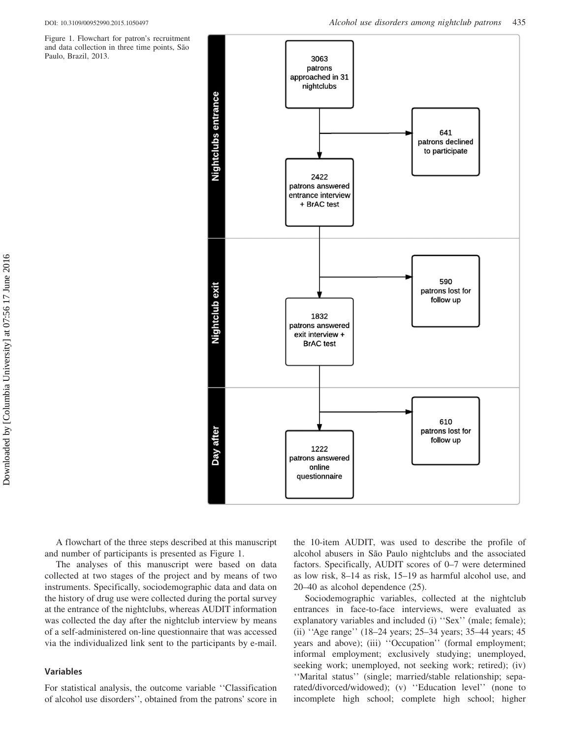<span id="page-3-0"></span>Figure 1. Flowchart for patron's recruitment and data collection in three time points, São Paulo, Brazil, 2013.



A flowchart of the three steps described at this manuscript and number of participants is presented as Figure 1.

The analyses of this manuscript were based on data collected at two stages of the project and by means of two instruments. Specifically, sociodemographic data and data on the history of drug use were collected during the portal survey at the entrance of the nightclubs, whereas AUDIT information was collected the day after the nightclub interview by means of a self-administered on-line questionnaire that was accessed via the individualized link sent to the participants by e-mail.

#### Variables

For statistical analysis, the outcome variable ''Classification of alcohol use disorders'', obtained from the patrons' score in

the 10-item AUDIT, was used to describe the profile of alcohol abusers in São Paulo nightclubs and the associated factors. Specifically, AUDIT scores of 0–7 were determined as low risk, 8–14 as risk, 15–19 as harmful alcohol use, and 20–40 as alcohol dependence [\(25](#page-9-0)).

Sociodemographic variables, collected at the nightclub entrances in face-to-face interviews, were evaluated as explanatory variables and included (i) "Sex" (male; female); (ii) ''Age range'' (18–24 years; 25–34 years; 35–44 years; 45 years and above); (iii) "Occupation" (formal employment; informal employment; exclusively studying; unemployed, seeking work; unemployed, not seeking work; retired); (iv) ''Marital status'' (single; married/stable relationship; separated/divorced/widowed); (v) ''Education level'' (none to incomplete high school; complete high school; higher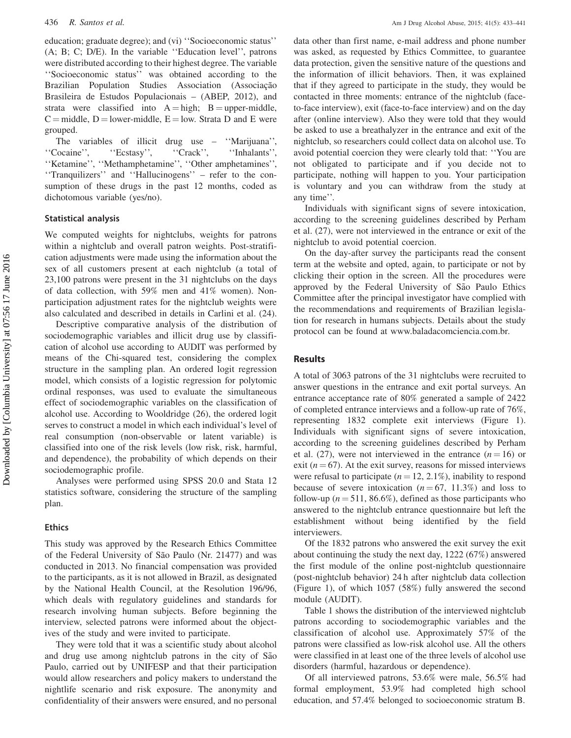education; graduate degree); and (vi) ''Socioeconomic status'' (A; B; C; D/E). In the variable ''Education level'', patrons were distributed according to their highest degree. The variable ''Socioeconomic status'' was obtained according to the Brazilian Population Studies Association (Associação Brasileira de Estudos Populacionais – (ABEP, 2012), and strata were classified into  $A = high$ ; B = upper-middle,  $C =$  middle, D = lower-middle, E = low. Strata D and E were grouped.

The variables of illicit drug use – ''Marijuana'', ''Cocaine'', ''Ecstasy'', ''Crack'', ''Inhalants'', ''Ketamine'', ''Methamphetamine'', ''Other amphetamines'', ''Tranquilizers'' and ''Hallucinogens'' – refer to the consumption of these drugs in the past 12 months, coded as dichotomous variable (yes/no).

### Statistical analysis

We computed weights for nightclubs, weights for patrons within a nightclub and overall patron weights. Post-stratification adjustments were made using the information about the sex of all customers present at each nightclub (a total of 23,100 patrons were present in the 31 nightclubs on the days of data collection, with 59% men and 41% women). Nonparticipation adjustment rates for the nightclub weights were also calculated and described in details in Carlini et al. [\(24](#page-9-0)).

Descriptive comparative analysis of the distribution of sociodemographic variables and illicit drug use by classification of alcohol use according to AUDIT was performed by means of the Chi-squared test, considering the complex structure in the sampling plan. An ordered logit regression model, which consists of a logistic regression for polytomic ordinal responses, was used to evaluate the simultaneous effect of sociodemographic variables on the classification of alcohol use. According to Wooldridge [\(26](#page-9-0)), the ordered logit serves to construct a model in which each individual's level of real consumption (non-observable or latent variable) is classified into one of the risk levels (low risk, risk, harmful, and dependence), the probability of which depends on their sociodemographic profile.

Analyses were performed using SPSS 20.0 and Stata 12 statistics software, considering the structure of the sampling plan.

#### Ethics

This study was approved by the Research Ethics Committee of the Federal University of São Paulo (Nr. 21477) and was conducted in 2013. No financial compensation was provided to the participants, as it is not allowed in Brazil, as designated by the National Health Council, at the Resolution 196/96, which deals with regulatory guidelines and standards for research involving human subjects. Before beginning the interview, selected patrons were informed about the objectives of the study and were invited to participate.

They were told that it was a scientific study about alcohol and drug use among nightclub patrons in the city of São Paulo, carried out by UNIFESP and that their participation would allow researchers and policy makers to understand the nightlife scenario and risk exposure. The anonymity and confidentiality of their answers were ensured, and no personal

data other than first name, e-mail address and phone number was asked, as requested by Ethics Committee, to guarantee data protection, given the sensitive nature of the questions and the information of illicit behaviors. Then, it was explained that if they agreed to participate in the study, they would be contacted in three moments: entrance of the nightclub (faceto-face interview), exit (face-to-face interview) and on the day after (online interview). Also they were told that they would be asked to use a breathalyzer in the entrance and exit of the nightclub, so researchers could collect data on alcohol use. To avoid potential coercion they were clearly told that: ''You are not obligated to participate and if you decide not to participate, nothing will happen to you. Your participation is voluntary and you can withdraw from the study at any time''.

Individuals with significant signs of severe intoxication, according to the screening guidelines described by Perham et al. [\(27\)](#page-9-0), were not interviewed in the entrance or exit of the nightclub to avoid potential coercion.

On the day-after survey the participants read the consent term at the website and opted, again, to participate or not by clicking their option in the screen. All the procedures were approved by the Federal University of São Paulo Ethics Committee after the principal investigator have complied with the recommendations and requirements of Brazilian legislation for research in humans subjects. Details about the study protocol can be found at www.baladacomciencia.com.br.

#### Results

A total of 3063 patrons of the 31 nightclubs were recruited to answer questions in the entrance and exit portal surveys. An entrance acceptance rate of 80% generated a sample of 2422 of completed entrance interviews and a follow-up rate of 76%, representing 1832 complete exit interviews [\(Figure 1](#page-3-0)). Individuals with significant signs of severe intoxication, according to the screening guidelines described by Perham et al. ([27\)](#page-9-0), were not interviewed in the entrance  $(n = 16)$  or exit ( $n = 67$ ). At the exit survey, reasons for missed interviews were refusal to participate  $(n = 12, 2.1\%)$ , inability to respond because of severe intoxication ( $n = 67$ , 11.3%) and loss to follow-up ( $n = 511, 86.6\%$ ), defined as those participants who answered to the nightclub entrance questionnaire but left the establishment without being identified by the field interviewers.

Of the 1832 patrons who answered the exit survey the exit about continuing the study the next day, 1222 (67%) answered the first module of the online post-nightclub questionnaire (post-nightclub behavior) 24 h after nightclub data collection [\(Figure 1](#page-3-0)), of which 1057 (58%) fully answered the second module (AUDIT).

[Table 1](#page-5-0) shows the distribution of the interviewed nightclub patrons according to sociodemographic variables and the classification of alcohol use. Approximately 57% of the patrons were classified as low-risk alcohol use. All the others were classified in at least one of the three levels of alcohol use disorders (harmful, hazardous or dependence).

Of all interviewed patrons, 53.6% were male, 56.5% had formal employment, 53.9% had completed high school education, and 57.4% belonged to socioeconomic stratum B.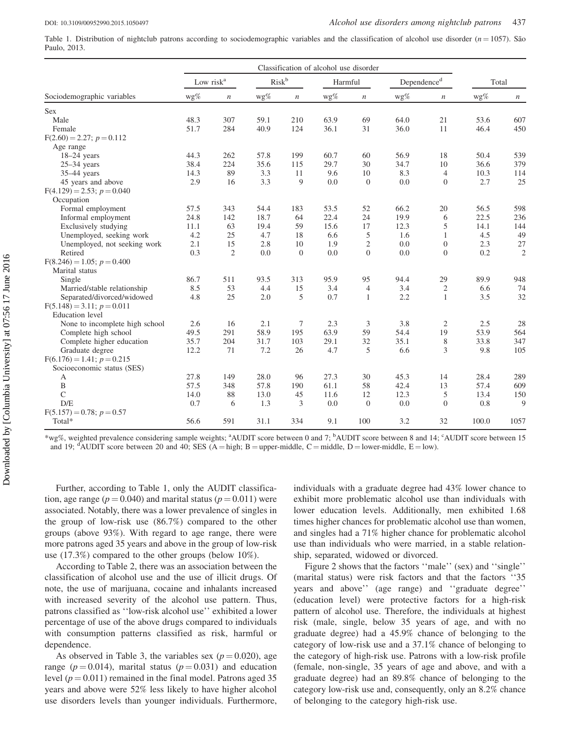<span id="page-5-0"></span>Table 1. Distribution of nightclub patrons according to sociodemographic variables and the classification of alcohol use disorder  $(n = 1057)$ . São Paulo, 2013.

|                                 | Classification of alcohol use disorder |                |                   |                |                    |                  |             |                  |                 |                  |
|---------------------------------|----------------------------------------|----------------|-------------------|----------------|--------------------|------------------|-------------|------------------|-----------------|------------------|
|                                 | Low risk <sup>a</sup>                  |                | Risk <sup>b</sup> |                | Harmful            |                  | Dependenced |                  | Total           |                  |
| Sociodemographic variables      | $\mathbf{wg}\%$                        | $\,$           | $wg\%$            | $\,$           | $\underline{wg}\%$ | $\boldsymbol{n}$ | wg%         | $\boldsymbol{n}$ | $\mathbf{wg}\%$ | $\boldsymbol{n}$ |
| <b>Sex</b>                      |                                        |                |                   |                |                    |                  |             |                  |                 |                  |
| Male                            | 48.3                                   | 307            | 59.1              | 210            | 63.9               | 69               | 64.0        | 21               | 53.6            | 607              |
| Female                          | 51.7                                   | 284            | 40.9              | 124            | 36.1               | 31               | 36.0        | 11               | 46.4            | 450              |
| $F(2.60) = 2.27$ ; $p = 0.112$  |                                        |                |                   |                |                    |                  |             |                  |                 |                  |
| Age range                       |                                        |                |                   |                |                    |                  |             |                  |                 |                  |
| $18-24$ years                   | 44.3                                   | 262            | 57.8              | 199            | 60.7               | 60               | 56.9        | 18               | 50.4            | 539              |
| $25-34$ years                   | 38.4                                   | 224            | 35.6              | 115            | 29.7               | 30               | 34.7        | 10               | 36.6            | 379              |
| $35-44$ years                   | 14.3                                   | 89             | 3.3               | 11             | 9.6                | 10               | 8.3         | $\overline{4}$   | 10.3            | 114              |
| 45 years and above              | 2.9                                    | 16             | 3.3               | $\overline{Q}$ | 0.0                | $\boldsymbol{0}$ | 0.0         | $\boldsymbol{0}$ | 2.7             | 25               |
| $F(4.129) = 2.53$ ; $p = 0.040$ |                                        |                |                   |                |                    |                  |             |                  |                 |                  |
| Occupation                      |                                        |                |                   |                |                    |                  |             |                  |                 |                  |
| Formal employment               | 57.5                                   | 343            | 54.4              | 183            | 53.5               | 52               | 66.2        | 20               | 56.5            | 598              |
| Informal employment             | 24.8                                   | 142            | 18.7              | 64             | 22.4               | 24               | 19.9        | 6                | 22.5            | 236              |
| Exclusively studying            | 11.1                                   | 63             | 19.4              | 59             | 15.6               | 17               | 12.3        | 5                | 14.1            | 144              |
| Unemployed, seeking work        | 4.2                                    | 25             | 4.7               | 18             | 6.6                | 5                | 1.6         | $\mathbf{1}$     | 4.5             | 49               |
| Unemployed, not seeking work    | 2.1                                    | 15             | 2.8               | 10             | 1.9                | $\mathfrak{2}$   | 0.0         | $\overline{0}$   | 2.3             | 27               |
| Retired                         | 0.3                                    | $\overline{2}$ | 0.0               | $\Omega$       | 0.0                | $\overline{0}$   | 0.0         | $\overline{0}$   | 0.2             | $\overline{2}$   |
| $F(8.246) = 1.05$ ; $p = 0.400$ |                                        |                |                   |                |                    |                  |             |                  |                 |                  |
| Marital status                  |                                        |                |                   |                |                    |                  |             |                  |                 |                  |
| Single                          | 86.7                                   | 511            | 93.5              | 313            | 95.9               | 95               | 94.4        | 29               | 89.9            | 948              |
| Married/stable relationship     | 8.5                                    | 53             | 4.4               | 15             | 3.4                | 4                | 3.4         | $\mathfrak{2}$   | 6.6             | 74               |
| Separated/divorced/widowed      | 4.8                                    | 25             | 2.0               | 5              | 0.7                | $\mathbf{1}$     | 2.2         | $\mathbf{1}$     | 3.5             | 32               |
| $F(5.148) = 3.11$ ; $p = 0.011$ |                                        |                |                   |                |                    |                  |             |                  |                 |                  |
| <b>Education</b> level          |                                        |                |                   |                |                    |                  |             |                  |                 |                  |
| None to incomplete high school  | 2.6                                    | 16             | 2.1               | 7              | 2.3                | 3                | 3.8         | 2                | 2.5             | 28               |
| Complete high school            | 49.5                                   | 291            | 58.9              | 195            | 63.9               | 59               | 54.4        | 19               | 53.9            | 564              |
| Complete higher education       | 35.7                                   | 204            | 31.7              | 103            | 29.1               | 32               | 35.1        | 8                | 33.8            | 347              |
| Graduate degree                 | 12.2                                   | 71             | 7.2               | 26             | 4.7                | 5                | 6.6         | 3                | 9.8             | 105              |
| $F(6.176) = 1.41$ ; $p = 0.215$ |                                        |                |                   |                |                    |                  |             |                  |                 |                  |
| Socioeconomic status (SES)      |                                        |                |                   |                |                    |                  |             |                  |                 |                  |
| A                               | 27.8                                   | 149            | 28.0              | 96             | 27.3               | 30               | 45.3        | 14               | 28.4            | 289              |
| $\mathbf B$                     | 57.5                                   | 348            | 57.8              | 190            | 61.1               | 58               | 42.4        | 13               | 57.4            | 609              |
| $\mathbf C$                     | 14.0                                   | 88             | 13.0              | 45             | 11.6               | 12               | 12.3        | 5                | 13.4            | 150              |
| D/E                             | 0.7                                    | 6              | 1.3               | 3              | 0.0                | $\boldsymbol{0}$ | 0.0         | $\boldsymbol{0}$ | 0.8             | 9                |
| $F(5.157) = 0.78; p = 0.57$     |                                        |                |                   |                |                    |                  |             |                  |                 |                  |
| Total*                          | 56.6                                   | 591            | 31.1              | 334            | 9.1                | 100              | 3.2         | 32               | 100.0           | 1057             |

\*wg%, weighted prevalence considering sample weights; <sup>a</sup>AUDIT score between 0 and 7; <sup>b</sup>AUDIT score between 8 and 14; <sup>c</sup>AUDIT score between 15 and 19;  $\rm ^{d}AUDIT$  score between 20 and 40; SES (A = high; B = upper-middle, C = middle, D = lower-middle, E = low).

Further, according to Table 1, only the AUDIT classification, age range ( $p = 0.040$ ) and marital status ( $p = 0.011$ ) were associated. Notably, there was a lower prevalence of singles in the group of low-risk use (86.7%) compared to the other groups (above 93%). With regard to age range, there were more patrons aged 35 years and above in the group of low-risk use (17.3%) compared to the other groups (below 10%).

According to [Table 2,](#page-6-0) there was an association between the classification of alcohol use and the use of illicit drugs. Of note, the use of marijuana, cocaine and inhalants increased with increased severity of the alcohol use pattern. Thus, patrons classified as ''low-risk alcohol use'' exhibited a lower percentage of use of the above drugs compared to individuals with consumption patterns classified as risk, harmful or dependence.

As observed in [Table 3,](#page-7-0) the variables sex ( $p = 0.020$ ), age range ( $p = 0.014$ ), marital status ( $p = 0.031$ ) and education level ( $p = 0.011$ ) remained in the final model. Patrons aged 35 years and above were 52% less likely to have higher alcohol use disorders levels than younger individuals. Furthermore,

individuals with a graduate degree had 43% lower chance to exhibit more problematic alcohol use than individuals with lower education levels. Additionally, men exhibited 1.68 times higher chances for problematic alcohol use than women, and singles had a 71% higher chance for problematic alcohol use than individuals who were married, in a stable relationship, separated, widowed or divorced.

[Figure 2](#page-7-0) shows that the factors "male" (sex) and "single" (marital status) were risk factors and that the factors ''35 years and above'' (age range) and ''graduate degree'' (education level) were protective factors for a high-risk pattern of alcohol use. Therefore, the individuals at highest risk (male, single, below 35 years of age, and with no graduate degree) had a 45.9% chance of belonging to the category of low-risk use and a 37.1% chance of belonging to the category of high-risk use. Patrons with a low-risk profile (female, non-single, 35 years of age and above, and with a graduate degree) had an 89.8% chance of belonging to the category low-risk use and, consequently, only an 8.2% chance of belonging to the category high-risk use.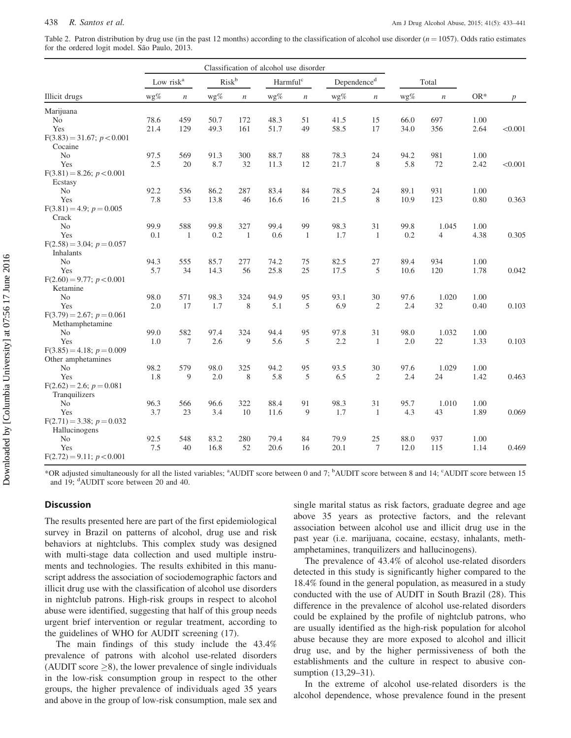<span id="page-6-0"></span>Table 2. Patron distribution by drug use (in the past 12 months) according to the classification of alcohol use disorder ( $n = 1057$ ). Odds ratio estimates for the ordered logit model. São Paulo, 2013.

|                                | Classification of alcohol use disorder |              |                 |                  |                          |                  |                         |      |       |                |       |                  |
|--------------------------------|----------------------------------------|--------------|-----------------|------------------|--------------------------|------------------|-------------------------|------|-------|----------------|-------|------------------|
|                                | Low risk <sup>a</sup>                  |              | $Risk^b$        |                  | $\mbox{Harmful}^{\rm c}$ |                  | Dependence <sup>d</sup> |      | Total |                |       |                  |
| Illicit drugs                  | $\mathbf{wg}\%$                        | $\,$         | $\mathbf{wg}\%$ | $\boldsymbol{n}$ | wg%                      | $\boldsymbol{n}$ | $\mathbf{wg}\%$         | $\,$ | wg%   | $\sqrt{n}$     | $OR*$ | $\boldsymbol{p}$ |
| Marijuana                      |                                        |              |                 |                  |                          |                  |                         |      |       |                |       |                  |
| N <sub>o</sub>                 | 78.6                                   | 459          | 50.7            | 172              | 48.3                     | 51               | 41.5                    | 15   | 66.0  | 697            | 1.00  |                  |
| Yes                            | 21.4                                   | 129          | 49.3            | 161              | 51.7                     | 49               | 58.5                    | 17   | 34.0  | 356            | 2.64  | < 0.001          |
| $F(3.83) = 31.67; p < 0.001$   |                                        |              |                 |                  |                          |                  |                         |      |       |                |       |                  |
| Cocaine                        |                                        |              |                 |                  |                          |                  |                         |      |       |                |       |                  |
| N <sub>0</sub>                 | 97.5                                   | 569          | 91.3            | 300              | 88.7                     | 88               | 78.3                    | 24   | 94.2  | 981            | 1.00  |                  |
| Yes                            | 2.5                                    | 20           | 8.7             | 32               | 11.3                     | 12               | 21.7                    | 8    | 5.8   | 72             | 2.42  | < 0.001          |
| $F(3.81) = 8.26; p < 0.001$    |                                        |              |                 |                  |                          |                  |                         |      |       |                |       |                  |
| Ecstasy                        |                                        |              |                 |                  |                          |                  |                         |      |       |                |       |                  |
| N <sub>o</sub>                 | 92.2                                   | 536          | 86.2            | 287              | 83.4                     | 84               | 78.5                    | 24   | 89.1  | 931            | 1.00  |                  |
| Yes                            | 7.8                                    | 53           | 13.8            | 46               | 16.6                     | 16               | 21.5                    | 8    | 10.9  | 123            | 0.80  | 0.363            |
| $F(3.81) = 4.9; p = 0.005$     |                                        |              |                 |                  |                          |                  |                         |      |       |                |       |                  |
| Crack                          |                                        |              |                 |                  |                          |                  |                         |      |       |                |       |                  |
| N <sub>0</sub>                 | 99.9                                   | 588          | 99.8            | 327              | 99.4                     | 99               | 98.3                    | 31   | 99.8  | 1.045          | 1.00  |                  |
| Yes                            | 0.1                                    | $\mathbf{1}$ | 0.2             | $\mathbf{1}$     | 0.6                      | $\mathbf{1}$     | 1.7                     | -1   | 0.2   | $\overline{4}$ | 4.38  | 0.305            |
| $F(2.58) = 3.04; p = 0.057$    |                                        |              |                 |                  |                          |                  |                         |      |       |                |       |                  |
| <b>Inhalants</b>               |                                        |              |                 |                  |                          |                  |                         |      |       |                |       |                  |
| N <sub>o</sub>                 | 94.3                                   | 555          | 85.7            | 277              | 74.2                     | 75               | 82.5                    | 27   | 89.4  | 934            | 1.00  |                  |
| Yes                            | 5.7                                    | 34           | 14.3            | 56               | 25.8                     | 25               | 17.5                    | 5    | 10.6  | 120            | 1.78  | 0.042            |
| $F(2.60) = 9.77$ ; $p < 0.001$ |                                        |              |                 |                  |                          |                  |                         |      |       |                |       |                  |
| Ketamine                       |                                        |              |                 |                  |                          |                  |                         |      |       |                |       |                  |
| N <sub>0</sub>                 | 98.0                                   | 571          | 98.3            | 324              | 94.9                     | 95               | 93.1                    | 30   | 97.6  | 1.020          | 1.00  |                  |
| Yes                            | 2.0                                    | 17           | 1.7             | 8                | 5.1                      | 5                | 6.9                     | 2    | 2.4   | 32             | 0.40  | 0.103            |
| $F(3.79) = 2.67$ ; $p = 0.061$ |                                        |              |                 |                  |                          |                  |                         |      |       |                |       |                  |
| Methamphetamine                |                                        |              |                 |                  |                          |                  |                         |      |       |                |       |                  |
| No                             | 99.0                                   | 582          | 97.4            | 324              | 94.4                     | 95               | 97.8                    | 31   | 98.0  | 1.032          | 1.00  |                  |
| Yes                            | 1.0                                    | $\tau$       | 2.6             | 9                | 5.6                      | 5                | 2.2                     | 1    | 2.0   | 22             | 1.33  | 0.103            |
| $F(3.85) = 4.18$ ; $p = 0.009$ |                                        |              |                 |                  |                          |                  |                         |      |       |                |       |                  |
| Other amphetamines             |                                        |              |                 |                  |                          |                  |                         |      |       |                |       |                  |
| N <sub>0</sub>                 | 98.2                                   | 579          | 98.0            | 325              | 94.2                     | 95               | 93.5                    | 30   | 97.6  | 1.029          | 1.00  |                  |
| Yes                            | 1.8                                    | 9            | 2.0             | 8                | 5.8                      | 5                | 6.5                     | 2    | 2.4   | 24             | 1.42  | 0.463            |
| $F(2.62) = 2.6; p = 0.081$     |                                        |              |                 |                  |                          |                  |                         |      |       |                |       |                  |
| Tranquilizers                  |                                        |              |                 |                  |                          |                  |                         |      |       |                |       |                  |
| N <sub>0</sub>                 | 96.3                                   | 566          | 96.6            | 322              | 88.4                     | 91               | 98.3                    | 31   | 95.7  | 1.010          | 1.00  |                  |
| Yes                            | 3.7                                    | 23           | 3.4             | 10               | 11.6                     | 9                | 1.7                     | -1   | 4.3   | 43             | 1.89  | 0.069            |
| $F(2.71) = 3.38; p = 0.032$    |                                        |              |                 |                  |                          |                  |                         |      |       |                |       |                  |
| Hallucinogens                  |                                        |              |                 |                  |                          |                  |                         |      |       |                |       |                  |
| N <sub>0</sub>                 | 92.5                                   | 548          | 83.2            | 280              | 79.4                     | 84               | 79.9                    | 25   | 88.0  | 937            | 1.00  |                  |
| Yes                            | 7.5                                    | 40           | 16.8            | 52               | 20.6                     | 16               | 20.1                    | 7    | 12.0  | 115            | 1.14  | 0.469            |
| $F(2.72) = 9.11$ ; $p < 0.001$ |                                        |              |                 |                  |                          |                  |                         |      |       |                |       |                  |

\*OR adjusted simultaneously for all the listed variables; <sup>a</sup>AUDIT score between 0 and 7; <sup>b</sup>AUDIT score between 8 and 14; <sup>c</sup>AUDIT score between 15 and 19; <sup>d</sup>AUDIT score between 20 and 40.

#### **Discussion**

The results presented here are part of the first epidemiological survey in Brazil on patterns of alcohol, drug use and risk behaviors at nightclubs. This complex study was designed with multi-stage data collection and used multiple instruments and technologies. The results exhibited in this manuscript address the association of sociodemographic factors and illicit drug use with the classification of alcohol use disorders in nightclub patrons. High-risk groups in respect to alcohol abuse were identified, suggesting that half of this group needs urgent brief intervention or regular treatment, according to the guidelines of WHO for AUDIT screening ([17\)](#page-9-0).

The main findings of this study include the 43.4% prevalence of patrons with alcohol use-related disorders (AUDIT score  $\geq$ 8), the lower prevalence of single individuals in the low-risk consumption group in respect to the other groups, the higher prevalence of individuals aged 35 years and above in the group of low-risk consumption, male sex and

single marital status as risk factors, graduate degree and age above 35 years as protective factors, and the relevant association between alcohol use and illicit drug use in the past year (i.e. marijuana, cocaine, ecstasy, inhalants, methamphetamines, tranquilizers and hallucinogens).

The prevalence of 43.4% of alcohol use-related disorders detected in this study is significantly higher compared to the 18.4% found in the general population, as measured in a study conducted with the use of AUDIT in South Brazil [\(28](#page-9-0)). This difference in the prevalence of alcohol use-related disorders could be explained by the profile of nightclub patrons, who are usually identified as the high-risk population for alcohol abuse because they are more exposed to alcohol and illicit drug use, and by the higher permissiveness of both the establishments and the culture in respect to abusive con-sumption ([13,29–31\)](#page-9-0).

In the extreme of alcohol use-related disorders is the alcohol dependence, whose prevalence found in the present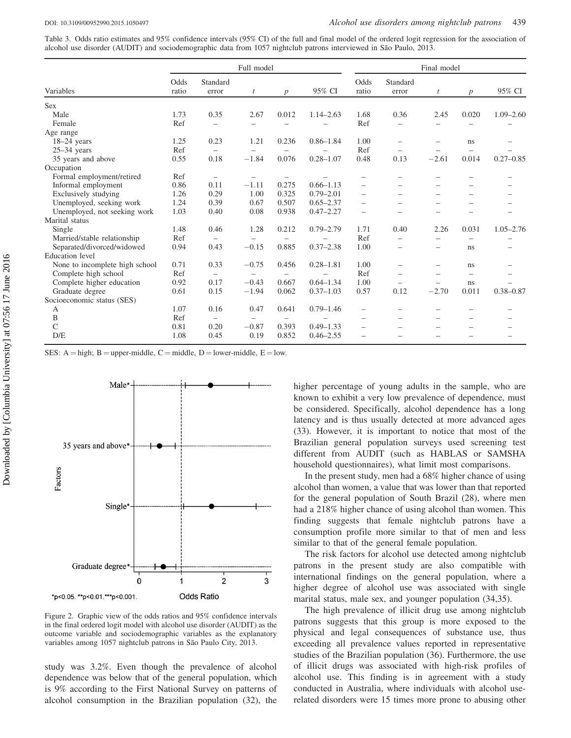<span id="page-7-0"></span>Table 3. Odds ratio estimates and 95% confidence intervals (95% CI) of the full and final model of the ordered logit regression for the association of alcohol use disorder (AUDIT) and sociodemographic data from 1057 nightclub patrons interviewed in São Paulo, 2013.

|                                | Full model    |                          |                          |                          |               |                          | Final model              |                          |                          |               |  |
|--------------------------------|---------------|--------------------------|--------------------------|--------------------------|---------------|--------------------------|--------------------------|--------------------------|--------------------------|---------------|--|
| Variables                      | Odds<br>ratio | Standard<br>error        | $\boldsymbol{t}$         | $\boldsymbol{p}$         | 95% CI        | Odds<br>ratio            | Standard<br>error        | $\mathfrak{t}$           | $\boldsymbol{p}$         | 95% CI        |  |
| <b>Sex</b>                     |               |                          |                          |                          |               |                          |                          |                          |                          |               |  |
| Male                           | 1.73          | 0.35                     | 2.67                     | 0.012                    | $1.14 - 2.63$ | 1.68                     | 0.36                     | 2.45                     | 0.020                    | $1.09 - 2.60$ |  |
| Female                         | Ref           |                          |                          |                          |               | Ref                      |                          | -                        |                          |               |  |
| Age range                      |               |                          |                          |                          |               |                          |                          |                          |                          |               |  |
| $18-24$ years                  | 1.25          | 0.23                     | 1.21                     | 0.236                    | $0.86 - 1.84$ | 1.00                     | $\overline{\phantom{0}}$ | -                        | ns                       |               |  |
| $25-34$ years                  | Ref           | $\equiv$                 |                          |                          |               | Ref                      | $\overline{\phantom{m}}$ | $\overline{\phantom{0}}$ | $\overline{\phantom{0}}$ |               |  |
| 35 years and above             | 0.55          | 0.18                     | $-1.84$                  | 0.076                    | $0.28 - 1.07$ | 0.48                     | 0.13                     | $-2.61$                  | 0.014                    | $0.27 - 0.85$ |  |
| Occupation                     |               |                          |                          |                          |               |                          |                          |                          |                          |               |  |
| Formal employment/retired      | Ref           | $\overline{\phantom{a}}$ |                          |                          |               |                          |                          |                          |                          |               |  |
| Informal employment            | 0.86          | 0.11                     | $-1.11$                  | 0.275                    | $0.66 - 1.13$ |                          |                          |                          |                          |               |  |
| Exclusively studying           | 1.26          | 0.29                     | 1.00                     | 0.325                    | $0.79 - 2.01$ |                          |                          |                          |                          |               |  |
| Unemployed, seeking work       | 1.24          | 0.39                     | 0.67                     | 0.507                    | $0.65 - 2.37$ |                          |                          |                          |                          |               |  |
| Unemployed, not seeking work   | 1.03          | 0.40                     | 0.08                     | 0.938                    | $0.47 - 2.27$ |                          |                          |                          |                          |               |  |
| Marital status                 |               |                          |                          |                          |               |                          |                          |                          |                          |               |  |
| Single                         | 1.48          | 0.46                     | 1.28                     | 0.212                    | $0.79 - 2.79$ | 1.71                     | 0.40                     | 2.26                     | 0.031                    | $1.05 - 2.76$ |  |
| Married/stable relationship    | Ref           | $-$                      |                          | $\overline{\phantom{m}}$ |               | Ref                      | $\overline{\phantom{0}}$ | $\overline{\phantom{0}}$ | $\overline{\phantom{0}}$ |               |  |
| Separated/divorced/widowed     | 0.94          | 0.43                     | $-0.15$                  | 0.885                    | $0.37 - 2.38$ | 1.00                     | $\overline{\phantom{0}}$ | -                        | ns                       |               |  |
| Education level                |               |                          |                          |                          |               |                          |                          |                          |                          |               |  |
| None to incomplete high school | 0.71          | 0.33                     | $-0.75$                  | 0.456                    | $0.28 - 1.81$ | 1.00                     | $\overline{\phantom{0}}$ | $\overline{\phantom{0}}$ | ns                       |               |  |
| Complete high school           | Ref           | $\overline{\phantom{0}}$ | $\qquad \qquad -$        | $\qquad \qquad -$        |               | Ref                      | $\overline{\phantom{m}}$ | -                        | -                        |               |  |
| Complete higher education      | 0.92          | 0.17                     | $-0.43$                  | 0.667                    | $0.64 - 1.34$ | 1.00                     | $\overline{\phantom{m}}$ |                          | ns                       |               |  |
| Graduate degree                | 0.61          | 0.15                     | $-1.94$                  | 0.062                    | $0.37 - 1.03$ | 0.57                     | 0.12                     | $-2.70$                  | 0.011                    | $0.38 - 0.87$ |  |
| Socioeconomic status (SES)     |               |                          |                          |                          |               |                          |                          |                          |                          |               |  |
| А                              | 1.07          | 0.16                     | 0.47                     | 0.641                    | $0.79 - 1.46$ |                          |                          |                          |                          |               |  |
| B                              | Ref           | $\overline{\phantom{m}}$ | $\overline{\phantom{0}}$ | $-$                      |               | $\overline{\phantom{0}}$ | $\overline{\phantom{m}}$ | $\overline{\phantom{0}}$ | $\overline{\phantom{0}}$ |               |  |
| $\mathsf{C}$                   | 0.81          | 0.20                     | $-0.87$                  | 0.393                    | $0.49 - 1.33$ |                          |                          |                          |                          |               |  |
| D/E                            | 1.08          | 0.45                     | 0.19                     | 0.852                    | $0.46 - 2.55$ |                          |                          |                          |                          |               |  |

SES: A = high; B = upper-middle, C = middle, D = lower-middle, E = low.



Figure 2. Graphic view of the odds ratios and 95% confidence intervals in the final ordered logit model with alcohol use disorder (AUDIT) as the outcome variable and sociodemographic variables as the explanatory variables among 1057 nightclub patrons in São Paulo City, 2013.

study was 3.2%. Even though the prevalence of alcohol dependence was below that of the general population, which is 9% according to the First National Survey on patterns of alcohol consumption in the Brazilian population ([32\)](#page-9-0), the higher percentage of young adults in the sample, who are known to exhibit a very low prevalence of dependence, must be considered. Specifically, alcohol dependence has a long latency and is thus usually detected at more advanced ages [\(33](#page-9-0)). However, it is important to notice that most of the Brazilian general population surveys used screening test different from AUDIT (such as HABLAS or SAMSHA household questionnaires), what limit most comparisons.

In the present study, men had a 68% higher chance of using alcohol than women, a value that was lower than that reported for the general population of South Brazil ([28\)](#page-9-0), where men had a 218% higher chance of using alcohol than women. This finding suggests that female nightclub patrons have a consumption profile more similar to that of men and less similar to that of the general female population.

The risk factors for alcohol use detected among nightclub patrons in the present study are also compatible with international findings on the general population, where a higher degree of alcohol use was associated with single marital status, male sex, and younger population [\(34](#page-9-0),[35\)](#page-9-0).

The high prevalence of illicit drug use among nightclub patrons suggests that this group is more exposed to the physical and legal consequences of substance use, thus exceeding all prevalence values reported in representative studies of the Brazilian population [\(36](#page-9-0)). Furthermore, the use of illicit drugs was associated with high-risk profiles of alcohol use. This finding is in agreement with a study conducted in Australia, where individuals with alcohol userelated disorders were 15 times more prone to abusing other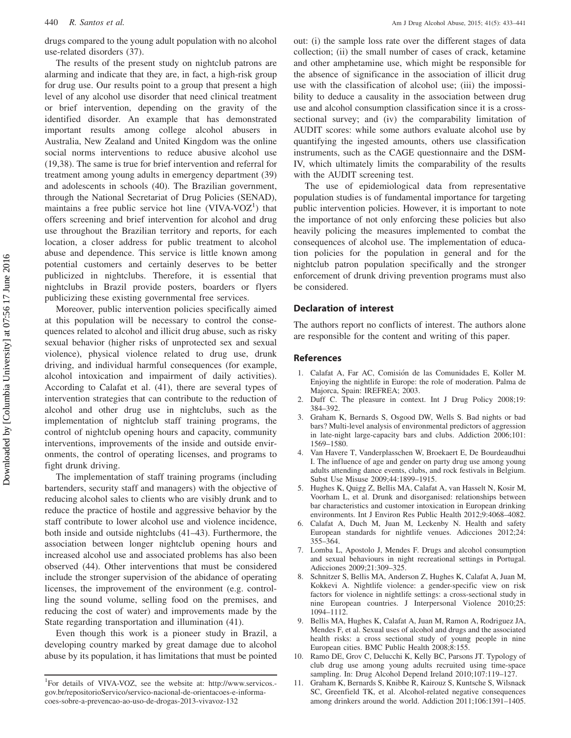<span id="page-8-0"></span>drugs compared to the young adult population with no alcohol use-related disorders [\(37](#page-9-0)).

The results of the present study on nightclub patrons are alarming and indicate that they are, in fact, a high-risk group for drug use. Our results point to a group that present a high level of any alcohol use disorder that need clinical treatment or brief intervention, depending on the gravity of the identified disorder. An example that has demonstrated important results among college alcohol abusers in Australia, New Zealand and United Kingdom was the online social norms interventions to reduce abusive alcohol use [\(19](#page-9-0),[38\)](#page-9-0). The same is true for brief intervention and referral for treatment among young adults in emergency department ([39\)](#page-9-0) and adolescents in schools ([40\)](#page-9-0). The Brazilian government, through the National Secretariat of Drug Policies (SENAD), maintains a free public service hot line  $(VIVA-VOZ<sup>1</sup>)$  that offers screening and brief intervention for alcohol and drug use throughout the Brazilian territory and reports, for each location, a closer address for public treatment to alcohol abuse and dependence. This service is little known among potential customers and certainly deserves to be better publicized in nightclubs. Therefore, it is essential that nightclubs in Brazil provide posters, boarders or flyers publicizing these existing governmental free services.

Moreover, public intervention policies specifically aimed at this population will be necessary to control the consequences related to alcohol and illicit drug abuse, such as risky sexual behavior (higher risks of unprotected sex and sexual violence), physical violence related to drug use, drunk driving, and individual harmful consequences (for example, alcohol intoxication and impairment of daily activities). According to Calafat et al. ([41\)](#page-9-0), there are several types of intervention strategies that can contribute to the reduction of alcohol and other drug use in nightclubs, such as the implementation of nightclub staff training programs, the control of nightclub opening hours and capacity, community interventions, improvements of the inside and outside environments, the control of operating licenses, and programs to fight drunk driving.

The implementation of staff training programs (including bartenders, security staff and managers) with the objective of reducing alcohol sales to clients who are visibly drunk and to reduce the practice of hostile and aggressive behavior by the staff contribute to lower alcohol use and violence incidence, both inside and outside nightclubs ([41–43\)](#page-9-0). Furthermore, the association between longer nightclub opening hours and increased alcohol use and associated problems has also been observed [\(44](#page-9-0)). Other interventions that must be considered include the stronger supervision of the abidance of operating licenses, the improvement of the environment (e.g. controlling the sound volume, selling food on the premises, and reducing the cost of water) and improvements made by the State regarding transportation and illumination ([41\)](#page-9-0).

Even though this work is a pioneer study in Brazil, a developing country marked by great damage due to alcohol abuse by its population, it has limitations that must be pointed

out: (i) the sample loss rate over the different stages of data collection; (ii) the small number of cases of crack, ketamine and other amphetamine use, which might be responsible for the absence of significance in the association of illicit drug use with the classification of alcohol use; (iii) the impossibility to deduce a causality in the association between drug use and alcohol consumption classification since it is a crosssectional survey; and (iv) the comparability limitation of AUDIT scores: while some authors evaluate alcohol use by quantifying the ingested amounts, others use classification instruments, such as the CAGE questionnaire and the DSM-IV, which ultimately limits the comparability of the results with the AUDIT screening test.

The use of epidemiological data from representative population studies is of fundamental importance for targeting public intervention policies. However, it is important to note the importance of not only enforcing these policies but also heavily policing the measures implemented to combat the consequences of alcohol use. The implementation of education policies for the population in general and for the nightclub patron population specifically and the stronger enforcement of drunk driving prevention programs must also be considered.

### Declaration of interest

The authors report no conflicts of interest. The authors alone are responsible for the content and writing of this paper.

#### References

- 1. Calafat A, Far AC, Comisión de las Comunidades E, Koller M. Enjoying the nightlife in Europe: the role of moderation. Palma de Majorca, Spain: IREFREA; 2003.
- 2. Duff C. The pleasure in context. Int J Drug Policy 2008;19: 384–392.
- 3. Graham K, Bernards S, Osgood DW, Wells S. Bad nights or bad bars? Multi-level analysis of environmental predictors of aggression in late-night large-capacity bars and clubs. Addiction 2006;101: 1569–1580.
- 4. Van Havere T, Vanderplasschen W, Broekaert E, De Bourdeaudhui I. The influence of age and gender on party drug use among young adults attending dance events, clubs, and rock festivals in Belgium. Subst Use Misuse 2009;44:1899–1915.
- 5. Hughes K, Quigg Z, Bellis MA, Calafat A, van Hasselt N, Kosir M, Voorham L, et al. Drunk and disorganised: relationships between bar characteristics and customer intoxication in European drinking environments. Int J Environ Res Public Health 2012;9:4068–4082.
- 6. Calafat A, Duch M, Juan M, Leckenby N. Health and safety European standards for nightlife venues. Adicciones 2012;24: 355–364.
- 7. Lomba L, Apostolo J, Mendes F. Drugs and alcohol consumption and sexual behaviours in night recreational settings in Portugal. Adicciones 2009;21:309–325.
- 8. Schnitzer S, Bellis MA, Anderson Z, Hughes K, Calafat A, Juan M, Kokkevi A. Nightlife violence: a gender-specific view on risk factors for violence in nightlife settings: a cross-sectional study in nine European countries. J Interpersonal Violence 2010;25: 1094–1112.
- 9. Bellis MA, Hughes K, Calafat A, Juan M, Ramon A, Rodriguez JA, Mendes F, et al. Sexual uses of alcohol and drugs and the associated health risks: a cross sectional study of young people in nine European cities. BMC Public Health 2008;8:155.
- 10. Ramo DE, Grov C, Delucchi K, Kelly BC, Parsons JT. Typology of club drug use among young adults recruited using time-space sampling. In: Drug Alcohol Depend Ireland 2010;107:119–127.
- 11. Graham K, Bernards S, Knibbe R, Kairouz S, Kuntsche S, Wilsnack SC, Greenfield TK, et al. Alcohol-related negative consequences among drinkers around the world. Addiction 2011;106:1391–1405.

<sup>&</sup>lt;sup>1</sup>For details of VIVA-VOZ, see the website at: http://www.servicos.gov.br/repositorioServico/servico-nacional-de-orientacoes-e-informacoes-sobre-a-prevencao-ao-uso-de-drogas-2013-vivavoz-132